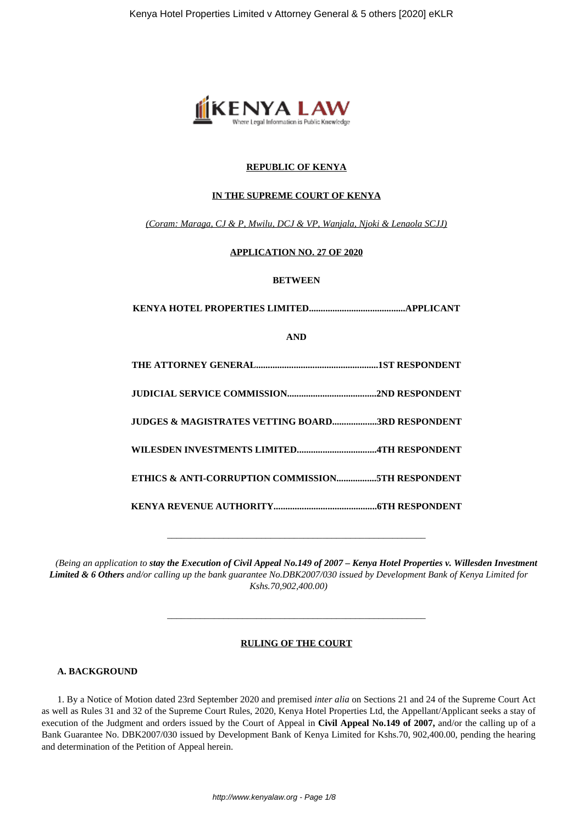

### **REPUBLIC OF KENYA**

#### **IN THE SUPREME COURT OF KENYA**

*(Coram: Maraga, CJ & P, Mwilu, DCJ & VP, Wanjala, Njoki & Lenaola SCJJ)*

#### **APPLICATION NO. 27 OF 2020**

#### **BETWEEN**

**KENYA HOTEL PROPERTIES LIMITED.........................................APPLICANT**

**AND**

| <b>JUDGES &amp; MAGISTRATES VETTING BOARD3RD RESPONDENT</b> |
|-------------------------------------------------------------|
|                                                             |
|                                                             |
|                                                             |

*(Being an application to stay the Execution of Civil Appeal No.149 of 2007 – Kenya Hotel Properties v. Willesden Investment Limited & 6 Others and/or calling up the bank guarantee No.DBK2007/030 issued by Development Bank of Kenya Limited for Kshs.70,902,400.00)*

\_\_\_\_\_\_\_\_\_\_\_\_\_\_\_\_\_\_\_\_\_\_\_\_\_\_\_\_\_\_\_\_\_\_\_\_\_\_\_\_\_\_\_\_\_\_\_\_\_\_\_\_\_\_\_

#### **RULING OF THE COURT**

*\_\_\_\_\_\_\_\_\_\_\_\_\_\_\_\_\_\_\_\_\_\_\_\_\_\_\_\_\_\_\_\_\_\_\_\_\_\_\_\_\_\_\_\_\_\_\_\_\_\_\_\_\_\_\_*

## **A. BACKGROUND**

1. By a Notice of Motion dated 23rd September 2020 and premised *inter alia* on Sections 21 and 24 of the Supreme Court Act as well as Rules 31 and 32 of the Supreme Court Rules, 2020, Kenya Hotel Properties Ltd, the Appellant/Applicant seeks a stay of execution of the Judgment and orders issued by the Court of Appeal in **Civil Appeal No.149 of 2007,** and/or the calling up of a Bank Guarantee No. DBK2007/030 issued by Development Bank of Kenya Limited for Kshs.70, 902,400.00, pending the hearing and determination of the Petition of Appeal herein.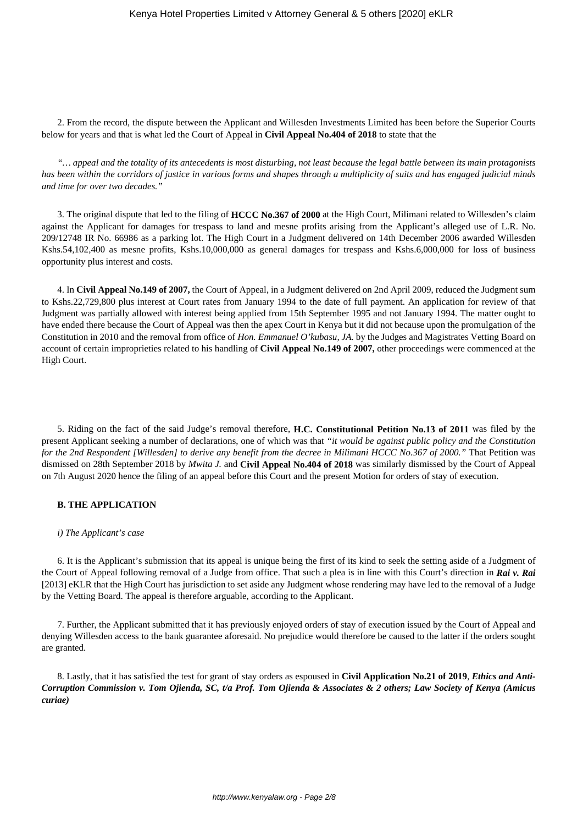2. From the record, the dispute between the Applicant and Willesden Investments Limited has been before the Superior Courts below for years and that is what led the Court of Appeal in **Civil Appeal No.404 of 2018** to state that the

*"… appeal and the totality of its antecedents is most disturbing, not least because the legal battle between its main protagonists has been within the corridors of justice in various forms and shapes through a multiplicity of suits and has engaged judicial minds and time for over two decades."*

3. The original dispute that led to the filing of **HCCC No.367 of 2000** at the High Court, Milimani related to Willesden's claim against the Applicant for damages for trespass to land and mesne profits arising from the Applicant's alleged use of L.R. No. 209/12748 IR No. 66986 as a parking lot. The High Court in a Judgment delivered on 14th December 2006 awarded Willesden Kshs.54,102,400 as mesne profits, Kshs.10,000,000 as general damages for trespass and Kshs.6,000,000 for loss of business opportunity plus interest and costs.

4. In **Civil Appeal No.149 of 2007,** the Court of Appeal, in a Judgment delivered on 2nd April 2009, reduced the Judgment sum to Kshs.22,729,800 plus interest at Court rates from January 1994 to the date of full payment. An application for review of that Judgment was partially allowed with interest being applied from 15th September 1995 and not January 1994. The matter ought to have ended there because the Court of Appeal was then the apex Court in Kenya but it did not because upon the promulgation of the Constitution in 2010 and the removal from office of *Hon. Emmanuel O'kubasu, JA.* by the Judges and Magistrates Vetting Board on account of certain improprieties related to his handling of **Civil Appeal No.149 of 2007,** other proceedings were commenced at the High Court.

5. Riding on the fact of the said Judge's removal therefore, **H.C. Constitutional Petition No.13 of 2011** was filed by the present Applicant seeking a number of declarations, one of which was that *"it would be against public policy and the Constitution for the 2nd Respondent [Willesden] to derive any benefit from the decree in Milimani HCCC No.367 of 2000."* That Petition was dismissed on 28th September 2018 by *Mwita J.* and **Civil Appeal No.404 of 2018** was similarly dismissed by the Court of Appeal on 7th August 2020 hence the filing of an appeal before this Court and the present Motion for orders of stay of execution.

## **B. THE APPLICATION**

#### *i) The Applicant's case*

6. It is the Applicant's submission that its appeal is unique being the first of its kind to seek the setting aside of a Judgment of the Court of Appeal following removal of a Judge from office. That such a plea is in line with this Court's direction in *Rai v. Rai* [2013] eKLR that the High Court has jurisdiction to set aside any Judgment whose rendering may have led to the removal of a Judge by the Vetting Board. The appeal is therefore arguable, according to the Applicant.

7. Further, the Applicant submitted that it has previously enjoyed orders of stay of execution issued by the Court of Appeal and denying Willesden access to the bank guarantee aforesaid. No prejudice would therefore be caused to the latter if the orders sought are granted.

8. Lastly, that it has satisfied the test for grant of stay orders as espoused in **Civil Application No.21 of 2019**, *Ethics and Anti-Corruption Commission v. Tom Ojienda, SC, t/a Prof. Tom Ojienda & Associates & 2 others; Law Society of Kenya (Amicus curiae)*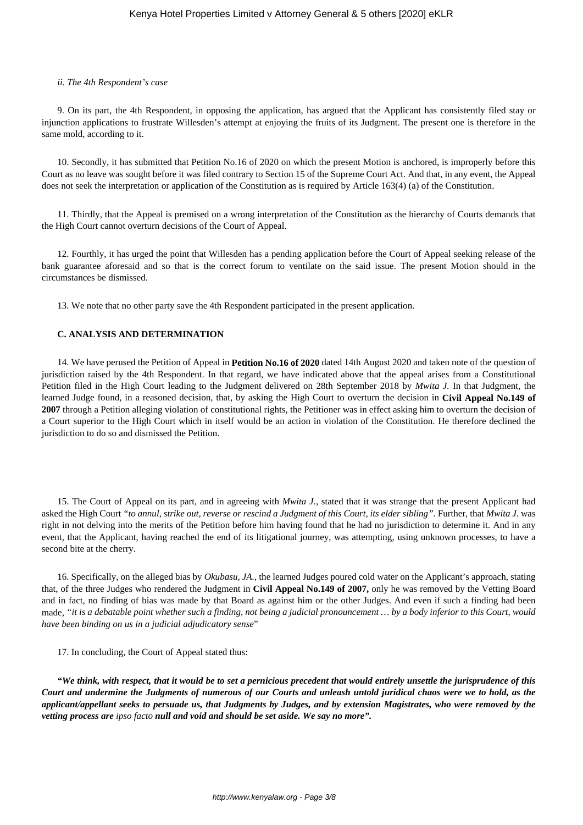#### *ii. The 4th Respondent's case*

9. On its part, the 4th Respondent, in opposing the application, has argued that the Applicant has consistently filed stay or injunction applications to frustrate Willesden's attempt at enjoying the fruits of its Judgment. The present one is therefore in the same mold, according to it.

10. Secondly, it has submitted that Petition No.16 of 2020 on which the present Motion is anchored, is improperly before this Court as no leave was sought before it was filed contrary to Section 15 of the Supreme Court Act. And that, in any event, the Appeal does not seek the interpretation or application of the Constitution as is required by Article 163(4) (a) of the Constitution.

11. Thirdly, that the Appeal is premised on a wrong interpretation of the Constitution as the hierarchy of Courts demands that the High Court cannot overturn decisions of the Court of Appeal.

12. Fourthly, it has urged the point that Willesden has a pending application before the Court of Appeal seeking release of the bank guarantee aforesaid and so that is the correct forum to ventilate on the said issue. The present Motion should in the circumstances be dismissed.

13. We note that no other party save the 4th Respondent participated in the present application.

## **C. ANALYSIS AND DETERMINATION**

14. We have perused the Petition of Appeal in **Petition No.16 of 2020** dated 14th August 2020 and taken note of the question of jurisdiction raised by the 4th Respondent. In that regard, we have indicated above that the appeal arises from a Constitutional Petition filed in the High Court leading to the Judgment delivered on 28th September 2018 by *Mwita J.* In that Judgment, the learned Judge found, in a reasoned decision, that, by asking the High Court to overturn the decision in **Civil Appeal No.149 of 2007** through a Petition alleging violation of constitutional rights, the Petitioner was in effect asking him to overturn the decision of a Court superior to the High Court which in itself would be an action in violation of the Constitution. He therefore declined the jurisdiction to do so and dismissed the Petition.

15. The Court of Appeal on its part, and in agreeing with *Mwita J.,* stated that it was strange that the present Applicant had asked the High Court *"to annul, strike out, reverse or rescind a Judgment of this Court, its elder sibling".* Further, that *Mwita J.* was right in not delving into the merits of the Petition before him having found that he had no jurisdiction to determine it. And in any event, that the Applicant, having reached the end of its litigational journey, was attempting, using unknown processes, to have a second bite at the cherry.

16. Specifically, on the alleged bias by *Okubasu, JA.,* the learned Judges poured cold water on the Applicant's approach, stating that, of the three Judges who rendered the Judgment in **Civil Appeal No.149 of 2007,** only he was removed by the Vetting Board and in fact, no finding of bias was made by that Board as against him or the other Judges. And even if such a finding had been made, *"it is a debatable point whether such a finding, not being a judicial pronouncement … by a body inferior to this Court, would have been binding on us in a judicial adjudicatory sense*"

17. In concluding, the Court of Appeal stated thus:

*"We think, with respect, that it would be to set a pernicious precedent that would entirely unsettle the jurisprudence of this Court and undermine the Judgments of numerous of our Courts and unleash untold juridical chaos were we to hold, as the applicant/appellant seeks to persuade us, that Judgments by Judges, and by extension Magistrates, who were removed by the vetting process are ipso facto null and void and should be set aside. We say no more".*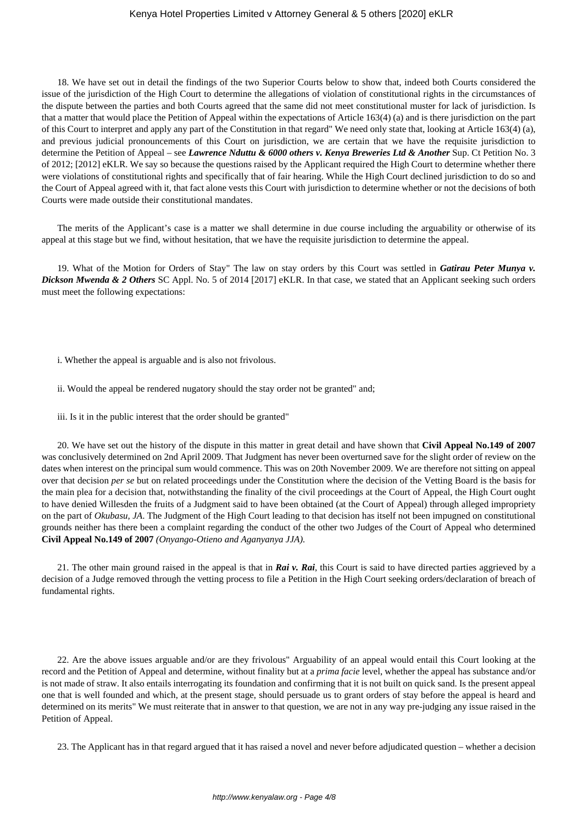## Kenya Hotel Properties Limited v Attorney General & 5 others [2020] eKLR

18. We have set out in detail the findings of the two Superior Courts below to show that, indeed both Courts considered the issue of the jurisdiction of the High Court to determine the allegations of violation of constitutional rights in the circumstances of the dispute between the parties and both Courts agreed that the same did not meet constitutional muster for lack of jurisdiction. Is that a matter that would place the Petition of Appeal within the expectations of Article 163(4) (a) and is there jurisdiction on the part of this Court to interpret and apply any part of the Constitution in that regard" We need only state that, looking at Article 163(4) (a), and previous judicial pronouncements of this Court on jurisdiction, we are certain that we have the requisite jurisdiction to determine the Petition of Appeal – see *Lawrence Nduttu & 6000 others v. Kenya Breweries Ltd & Another* Sup. Ct Petition No. 3 of 2012; [2012] eKLR. We say so because the questions raised by the Applicant required the High Court to determine whether there were violations of constitutional rights and specifically that of fair hearing. While the High Court declined jurisdiction to do so and the Court of Appeal agreed with it, that fact alone vests this Court with jurisdiction to determine whether or not the decisions of both Courts were made outside their constitutional mandates.

The merits of the Applicant's case is a matter we shall determine in due course including the arguability or otherwise of its appeal at this stage but we find, without hesitation, that we have the requisite jurisdiction to determine the appeal.

19. What of the Motion for Orders of Stay" The law on stay orders by this Court was settled in *Gatirau Peter Munya v. Dickson Mwenda & 2 Others* SC Appl. No. 5 of 2014 [2017] eKLR. In that case, we stated that an Applicant seeking such orders must meet the following expectations:

i. Whether the appeal is arguable and is also not frivolous.

ii. Would the appeal be rendered nugatory should the stay order not be granted" and;

iii. Is it in the public interest that the order should be granted"

20. We have set out the history of the dispute in this matter in great detail and have shown that **Civil Appeal No.149 of 2007** was conclusively determined on 2nd April 2009. That Judgment has never been overturned save for the slight order of review on the dates when interest on the principal sum would commence. This was on 20th November 2009. We are therefore not sitting on appeal over that decision *per se* but on related proceedings under the Constitution where the decision of the Vetting Board is the basis for the main plea for a decision that, notwithstanding the finality of the civil proceedings at the Court of Appeal, the High Court ought to have denied Willesden the fruits of a Judgment said to have been obtained (at the Court of Appeal) through alleged impropriety on the part of *Okubasu, JA*. The Judgment of the High Court leading to that decision has itself not been impugned on constitutional grounds neither has there been a complaint regarding the conduct of the other two Judges of the Court of Appeal who determined **Civil Appeal No.149 of 2007** *(Onyango-Otieno and Aganyanya JJA).*

21. The other main ground raised in the appeal is that in *Rai v. Rai*, this Court is said to have directed parties aggrieved by a decision of a Judge removed through the vetting process to file a Petition in the High Court seeking orders/declaration of breach of fundamental rights.

22. Are the above issues arguable and/or are they frivolous" Arguability of an appeal would entail this Court looking at the record and the Petition of Appeal and determine, without finality but at a *prima facie* level, whether the appeal has substance and/or is not made of straw. It also entails interrogating its foundation and confirming that it is not built on quick sand. Is the present appeal one that is well founded and which, at the present stage, should persuade us to grant orders of stay before the appeal is heard and determined on its merits" We must reiterate that in answer to that question, we are not in any way pre-judging any issue raised in the Petition of Appeal.

23. The Applicant has in that regard argued that it has raised a novel and never before adjudicated question – whether a decision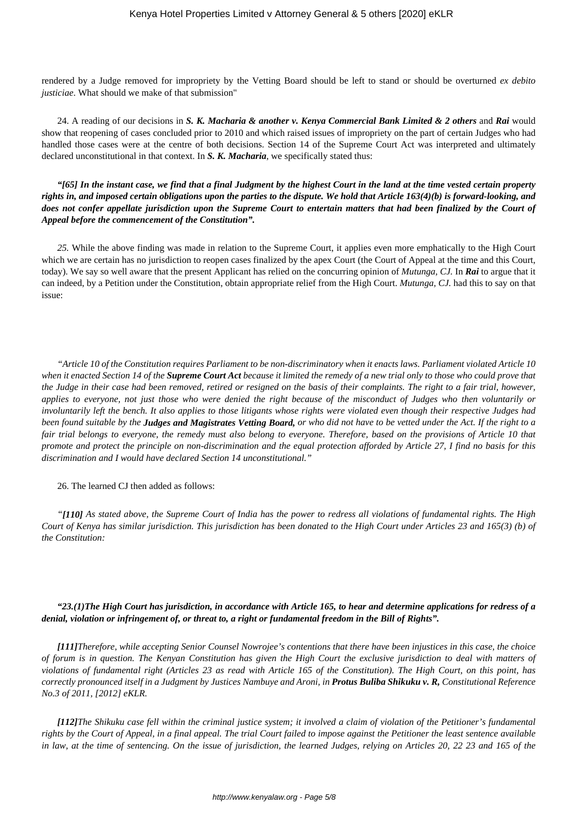rendered by a Judge removed for impropriety by the Vetting Board should be left to stand or should be overturned *ex debito justiciae*. What should we make of that submission"

24. A reading of our decisions in *S. K. Macharia & another v. Kenya Commercial Bank Limited & 2 others* and *Rai* would show that reopening of cases concluded prior to 2010 and which raised issues of impropriety on the part of certain Judges who had handled those cases were at the centre of both decisions. Section 14 of the Supreme Court Act was interpreted and ultimately declared unconstitutional in that context. In *S. K. Macharia*, we specifically stated thus:

*"[65] In the instant case, we find that a final Judgment by the highest Court in the land at the time vested certain property rights in, and imposed certain obligations upon the parties to the dispute. We hold that Article 163(4)(b) is forward-looking, and does not confer appellate jurisdiction upon the Supreme Court to entertain matters that had been finalized by the Court of Appeal before the commencement of the Constitution".*

*25.* While the above finding was made in relation to the Supreme Court, it applies even more emphatically to the High Court which we are certain has no jurisdiction to reopen cases finalized by the apex Court (the Court of Appeal at the time and this Court, today). We say so well aware that the present Applicant has relied on the concurring opinion of *Mutunga, CJ.* In *Rai* to argue that it can indeed, by a Petition under the Constitution, obtain appropriate relief from the High Court. *Mutunga, CJ.* had this to say on that issue:

*"Article 10 of the Constitution requires Parliament to be non-discriminatory when it enacts laws. Parliament violated Article 10 when it enacted Section 14 of the Supreme Court Act because it limited the remedy of a new trial only to those who could prove that the Judge in their case had been removed, retired or resigned on the basis of their complaints. The right to a fair trial, however, applies to everyone, not just those who were denied the right because of the misconduct of Judges who then voluntarily or involuntarily left the bench. It also applies to those litigants whose rights were violated even though their respective Judges had been found suitable by the Judges and Magistrates Vetting Board, or who did not have to be vetted under the Act. If the right to a fair trial belongs to everyone, the remedy must also belong to everyone. Therefore, based on the provisions of Article 10 that promote and protect the principle on non-discrimination and the equal protection afforded by Article 27, I find no basis for this discrimination and I would have declared Section 14 unconstitutional."*

#### 26. The learned CJ then added as follows:

*"[110] As stated above, the Supreme Court of India has the power to redress all violations of fundamental rights. The High Court of Kenya has similar jurisdiction. This jurisdiction has been donated to the High Court under Articles 23 and 165(3) (b) of the Constitution:*

## *"23.(1)The High Court has jurisdiction, in accordance with Article 165, to hear and determine applications for redress of a denial, violation or infringement of, or threat to, a right or fundamental freedom in the Bill of Rights".*

*[111]Therefore, while accepting Senior Counsel Nowrojee's contentions that there have been injustices in this case, the choice of forum is in question. The Kenyan Constitution has given the High Court the exclusive jurisdiction to deal with matters of violations of fundamental right (Articles 23 as read with Article 165 of the Constitution). The High Court, on this point, has correctly pronounced itself in a Judgment by Justices Nambuye and Aroni, in Protus Buliba Shikuku v. R, Constitutional Reference No.3 of 2011, [2012] eKLR.*

*[112]The Shikuku case fell within the criminal justice system; it involved a claim of violation of the Petitioner's fundamental rights by the Court of Appeal, in a final appeal. The trial Court failed to impose against the Petitioner the least sentence available in law, at the time of sentencing. On the issue of jurisdiction, the learned Judges, relying on Articles 20, 22 23 and 165 of the*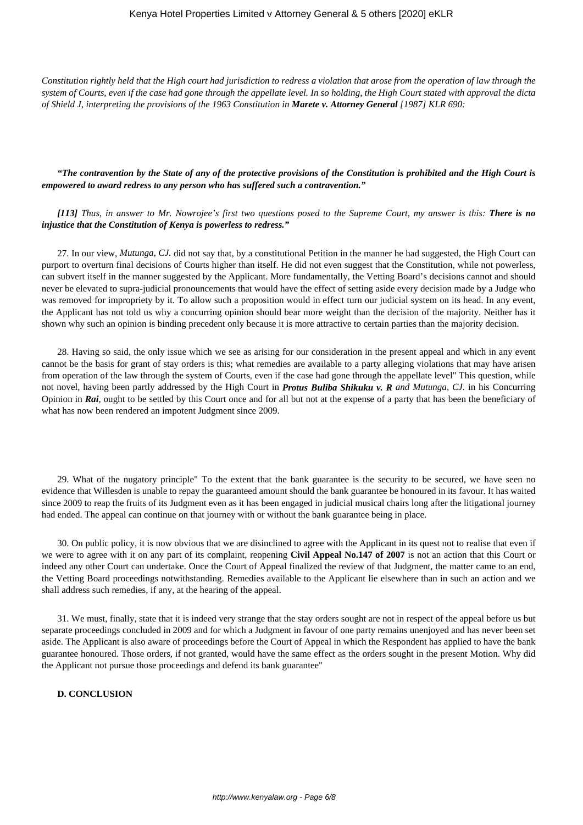*Constitution rightly held that the High court had jurisdiction to redress a violation that arose from the operation of law through the system of Courts, even if the case had gone through the appellate level. In so holding, the High Court stated with approval the dicta of Shield J, interpreting the provisions of the 1963 Constitution in Marete v. Attorney General [1987] KLR 690:*

### *"The contravention by the State of any of the protective provisions of the Constitution is prohibited and the High Court is empowered to award redress to any person who has suffered such a contravention."*

*[113] Thus, in answer to Mr. Nowrojee's first two questions posed to the Supreme Court, my answer is this: There is no injustice that the Constitution of Kenya is powerless to redress."*

27. In our view, *Mutunga, CJ.* did not say that, by a constitutional Petition in the manner he had suggested, the High Court can purport to overturn final decisions of Courts higher than itself. He did not even suggest that the Constitution, while not powerless, can subvert itself in the manner suggested by the Applicant. More fundamentally, the Vetting Board's decisions cannot and should never be elevated to supra-judicial pronouncements that would have the effect of setting aside every decision made by a Judge who was removed for impropriety by it. To allow such a proposition would in effect turn our judicial system on its head. In any event, the Applicant has not told us why a concurring opinion should bear more weight than the decision of the majority. Neither has it shown why such an opinion is binding precedent only because it is more attractive to certain parties than the majority decision.

28. Having so said, the only issue which we see as arising for our consideration in the present appeal and which in any event cannot be the basis for grant of stay orders is this; what remedies are available to a party alleging violations that may have arisen from operation of the law through the system of Courts, even if the case had gone through the appellate level" This question, while not novel, having been partly addressed by the High Court in *Protus Buliba Shikuku v. R and Mutunga, CJ.* in his Concurring Opinion in *Rai*, ought to be settled by this Court once and for all but not at the expense of a party that has been the beneficiary of what has now been rendered an impotent Judgment since 2009.

29. What of the nugatory principle" To the extent that the bank guarantee is the security to be secured, we have seen no evidence that Willesden is unable to repay the guaranteed amount should the bank guarantee be honoured in its favour. It has waited since 2009 to reap the fruits of its Judgment even as it has been engaged in judicial musical chairs long after the litigational journey had ended. The appeal can continue on that journey with or without the bank guarantee being in place.

30. On public policy, it is now obvious that we are disinclined to agree with the Applicant in its quest not to realise that even if we were to agree with it on any part of its complaint, reopening **Civil Appeal No.147 of 2007** is not an action that this Court or indeed any other Court can undertake. Once the Court of Appeal finalized the review of that Judgment, the matter came to an end, the Vetting Board proceedings notwithstanding. Remedies available to the Applicant lie elsewhere than in such an action and we shall address such remedies, if any, at the hearing of the appeal.

31. We must, finally, state that it is indeed very strange that the stay orders sought are not in respect of the appeal before us but separate proceedings concluded in 2009 and for which a Judgment in favour of one party remains unenjoyed and has never been set aside. The Applicant is also aware of proceedings before the Court of Appeal in which the Respondent has applied to have the bank guarantee honoured. Those orders, if not granted, would have the same effect as the orders sought in the present Motion. Why did the Applicant not pursue those proceedings and defend its bank guarantee"

### **D. CONCLUSION**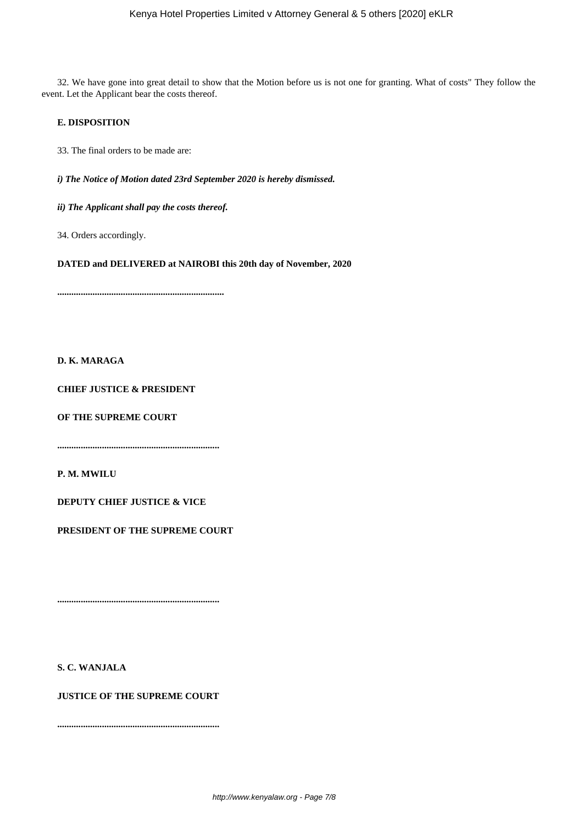32. We have gone into great detail to show that the Motion before us is not one for granting. What of costs" They follow the event. Let the Applicant bear the costs thereof.

# **E. DISPOSITION**

33. The final orders to be made are:

*i) The Notice of Motion dated 23rd September 2020 is hereby dismissed.*

*ii) The Applicant shall pay the costs thereof.*

34. Orders accordingly.

**DATED and DELIVERED at NAIROBI this 20th day of November, 2020**

**.......................................................................**

**D. K. MARAGA**

**CHIEF JUSTICE & PRESIDENT**

**OF THE SUPREME COURT**

**.....................................................................**

**P. M. MWILU**

**DEPUTY CHIEF JUSTICE & VICE**

**PRESIDENT OF THE SUPREME COURT**

**.....................................................................**

**S. C. WANJALA**

**JUSTICE OF THE SUPREME COURT**

**.....................................................................**